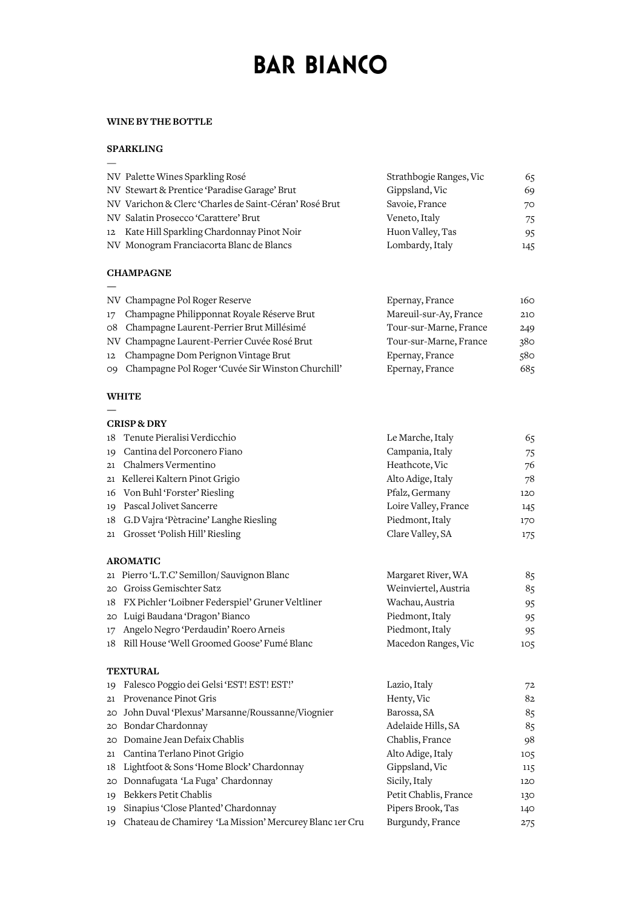# **BAR BIANCO**

### **WINEBYTHEBOTTLE**

## **SPARKLING**

—

**—**

| NV Palette Wines Sparkling Rosé                        | Strathbogie Ranges, Vic | 65  |
|--------------------------------------------------------|-------------------------|-----|
| NV Stewart & Prentice 'Paradise Garage' Brut           | Gippsland, Vic          | 69  |
| NV Varichon & Clerc 'Charles de Saint-Céran' Rosé Brut | Savoie, France          | 70  |
| NV Salatin Prosecco 'Carattere' Brut                   | Veneto, Italy           | 75  |
| 12 Kate Hill Sparkling Chardonnay Pinot Noir           | Huon Valley, Tas        | 95  |
| NV Monogram Franciacorta Blanc de Blancs               | Lombardy, Italy         | 145 |

#### **CHAMPAGNE**

|                | NV Champagne Pol Roger Reserve                    | Epernay, France        | 160 |
|----------------|---------------------------------------------------|------------------------|-----|
| 17             | Champagne Philipponnat Royale Réserve Brut        | Mareuil-sur-Ay, France | 210 |
|                | 08 Champagne Laurent-Perrier Brut Millésimé       | Tour-sur-Marne, France | 249 |
|                | NV Champagne Laurent-Perrier Cuvée Rosé Brut      | Tour-sur-Marne, France | 380 |
| 12             | Champagne Dom Perignon Vintage Brut               | Epernay, France        | 580 |
| O <sub>9</sub> | Champagne Pol Roger 'Cuvée Sir Winston Churchill' | Epernay, France        | 685 |

## **WHITE**

**—**

|                 | <b>CRISP &amp; DRY</b>                                  |                       |     |
|-----------------|---------------------------------------------------------|-----------------------|-----|
| 18              | Tenute Pieralisi Verdicchio                             | Le Marche, Italy      | 65  |
| 19              | Cantina del Porconero Fiano                             | Campania, Italy       | 75  |
| 21              | Chalmers Vermentino                                     | Heathcote, Vic        | 76  |
|                 | 21 Kellerei Kaltern Pinot Grigio                        | Alto Adige, Italy     | 78  |
| 16              | Von Buhl 'Forster' Riesling                             | Pfalz, Germany        | 120 |
| 19              | Pascal Jolivet Sancerre                                 | Loire Valley, France  | 145 |
| 18              | G.D Vajra 'Pètracine' Langhe Riesling                   | Piedmont, Italy       | 170 |
| 21              | Grosset 'Polish Hill' Riesling                          | Clare Valley, SA      | 175 |
|                 | <b>AROMATIC</b>                                         |                       |     |
|                 | 21 Pierro 'L.T.C' Semillon/ Sauvignon Blanc             | Margaret River, WA    | 85  |
| 20              | Groiss Gemischter Satz                                  | Weinviertel, Austria  | 85  |
| 18              | FX Pichler 'Loibner Federspiel' Gruner Veltliner        | Wachau, Austria       | 95  |
| 20              | Luigi Baudana 'Dragon' Bianco                           | Piedmont, Italy       | 95  |
| 17              | Angelo Negro 'Perdaudin' Roero Arneis                   | Piedmont, Italy       | 95  |
|                 | 18 Rill House 'Well Groomed Goose' Fumé Blanc           | Macedon Ranges, Vic   | 105 |
|                 | <b>TEXTURAL</b>                                         |                       |     |
| 19              | Falesco Poggio dei Gelsi 'EST! EST! EST!'               | Lazio, Italy          | 72  |
| 21              | Provenance Pinot Gris                                   | Henty, Vic            | 82  |
| 20              | John Duval 'Plexus' Marsanne/Roussanne/Viognier         | Barossa, SA           | 85  |
| 20 <sub>1</sub> | Bondar Chardonnay                                       | Adelaide Hills, SA    | 85  |
| 20              | Domaine Jean Defaix Chablis                             | Chablis, France       | 98  |
| 21              | Cantina Terlano Pinot Grigio                            | Alto Adige, Italy     | 105 |
| 18              | Lightfoot & Sons 'Home Block' Chardonnay                | Gippsland, Vic        | 115 |
| 20              | Donnafugata 'La Fuga' Chardonnay                        | Sicily, Italy         | 120 |
| 19              | Bekkers Petit Chablis                                   | Petit Chablis, France | 130 |
| 19              | Sinapius 'Close Planted' Chardonnay                     | Pipers Brook, Tas     | 140 |
| 19              | Chateau de Chamirey 'La Mission' Mercurey Blanc 1er Cru | Burgundy, France      | 275 |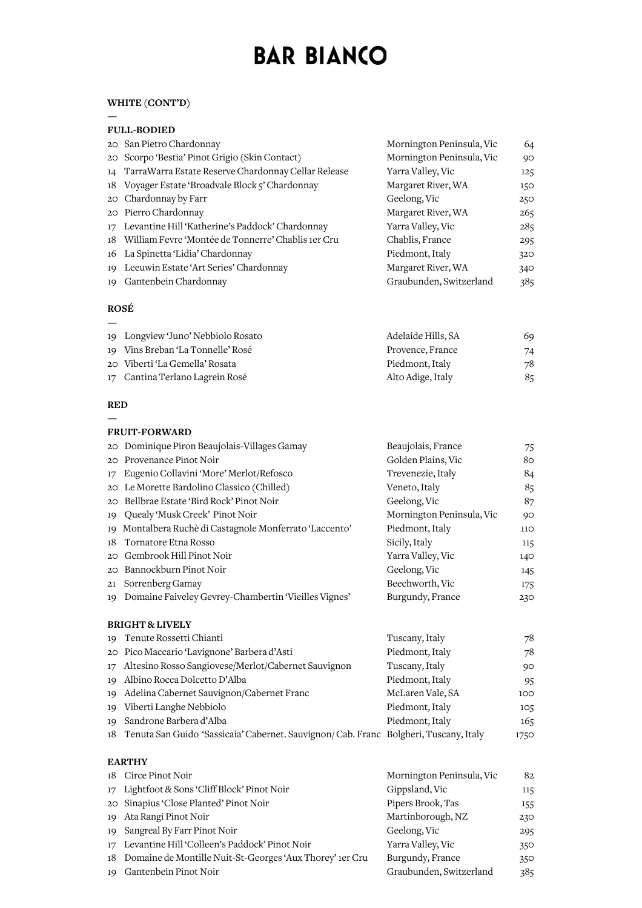# **BAR BIANCO**

# **WHITE(CONT'D)**

**—**

|    | <b>FULL-BODIED</b>                                     |                           |     |  |  |
|----|--------------------------------------------------------|---------------------------|-----|--|--|
|    | 20 San Pietro Chardonnay                               | Mornington Peninsula, Vic | 64  |  |  |
|    | 20 Scorpo 'Bestia' Pinot Grigio (Skin Contact)         | Mornington Peninsula, Vic | 90  |  |  |
|    | 14 TarraWarra Estate Reserve Chardonnay Cellar Release | Yarra Valley, Vic         | 125 |  |  |
|    | 18 Voyager Estate 'Broadvale Block 5' Chardonnay       | Margaret River, WA        | 150 |  |  |
|    | 20 Chardonnay by Farr                                  | Geelong, Vic              | 250 |  |  |
|    | 20 Pierro Chardonnay                                   | Margaret River, WA        | 265 |  |  |
|    | 17 Levantine Hill 'Katherine's Paddock' Chardonnay     | Yarra Valley, Vic         | 285 |  |  |
|    | 18 William Fevre 'Montée de Tonnerre' Chablis 1er Cru  | Chablis, France           | 295 |  |  |
|    | 16 La Spinetta 'Lidia' Chardonnay                      | Piedmont, Italy           | 320 |  |  |
|    | 19 Leeuwin Estate 'Art Series' Chardonnay              | Margaret River, WA        | 340 |  |  |
| 19 | Gantenbein Chardonnay                                  | Graubunden, Switzerland   | 385 |  |  |
|    |                                                        |                           |     |  |  |

### **ROSÉ**  $\equiv$

| 19 Longview 'Juno' Nebbiolo Rosato | Adelaide Hills, SA | 69 |
|------------------------------------|--------------------|----|
| 19 Vins Breban 'La Tonnelle' Rosé  | Provence, France   | 74 |
| 20 Viberti 'La Gemella' Rosata     | Piedmont, Italy    | 78 |
| 17 Cantina Terlano Lagrein Rosé    | Alto Adige, Italy  | 85 |

## **RED**

Gantenbein Pinot Noir

|                 | <b>FRUIT-FORWARD</b>                                                                  |                           |      |
|-----------------|---------------------------------------------------------------------------------------|---------------------------|------|
|                 | 20 Dominique Piron Beaujolais-Villages Gamay                                          | Beaujolais, France        | 75   |
| 20              | Provenance Pinot Noir                                                                 | Golden Plains, Vic        | 80   |
| 17              | Eugenio Collavini 'More' Merlot/Refosco                                               | Trevenezie, Italy         | 84   |
| 20              | Le Morette Bardolino Classico (Chilled)                                               | Veneto, Italy             | 85   |
| 20              | Bellbrae Estate 'Bird Rock' Pinot Noir                                                | Geelong, Vic              | 87   |
| 19              | Quealy 'Musk Creek' Pinot Noir                                                        | Mornington Peninsula, Vic | 90   |
| 19              | Montalbera Ruchè di Castagnole Monferrato 'Laccento'                                  | Piedmont, Italy           | 110  |
| 18              | Tornatore Etna Rosso                                                                  | Sicily, Italy             | 115  |
| 20 <sup>o</sup> | Gembrook Hill Pinot Noir                                                              | Yarra Valley, Vic         | 140  |
|                 | 20 Bannockburn Pinot Noir                                                             | Geelong, Vic              | 145  |
| 21              | Sorrenberg Gamay                                                                      | Beechworth, Vic           | 175  |
| 19              | Domaine Faiveley Gevrey-Chambertin 'Vieilles Vignes'                                  | Burgundy, France          | 230  |
|                 | <b>BRIGHT &amp; LIVELY</b>                                                            |                           |      |
| 19              | Tenute Rossetti Chianti                                                               | Tuscany, Italy            | 78   |
|                 | 20 Pico Maccario 'Lavignone' Barbera d'Asti                                           | Piedmont, Italy           | 78   |
| $17 \,$         | Altesino Rosso Sangiovese/Merlot/Cabernet Sauvignon                                   | Tuscany, Italy            | 90   |
| 19              | Albino Rocca Dolcetto D'Alba                                                          | Piedmont, Italy           | 95   |
| 19              | Adelina Cabernet Sauvignon/Cabernet Franc                                             | McLaren Vale, SA          | 100  |
| 19              | Viberti Langhe Nebbiolo                                                               | Piedmont, Italy           | 105  |
| 19              | Sandrone Barbera d'Alba                                                               | Piedmont, Italy           | 165  |
| 18              | Tenuta San Guido 'Sassicaia' Cabernet. Sauvignon/ Cab. Franc Bolgheri, Tuscany, Italy |                           | 1750 |
|                 | <b>EARTHY</b>                                                                         |                           |      |
| 18              | Circe Pinot Noir                                                                      | Mornington Peninsula, Vic | 82   |
| 17              | Lightfoot & Sons 'Cliff Block' Pinot Noir                                             | Gippsland, Vic            | 115  |
| 20              | Sinapius 'Close Planted' Pinot Noir                                                   | Pipers Brook, Tas         | 155  |
| 19              | Ata Rangi Pinot Noir                                                                  | Martinborough, NZ         | 230  |
| 19              | Sangreal By Farr Pinot Noir                                                           | Geelong, Vic              | 295  |
| 17              | Levantine Hill 'Colleen's Paddock' Pinot Noir                                         | Yarra Valley, Vic         | 350  |
| 18              | Domaine de Montille Nuit-St-Georges 'Aux Thorey' 1er Cru                              | Burgundy, France          | 350  |

Graubunden, Switzerland